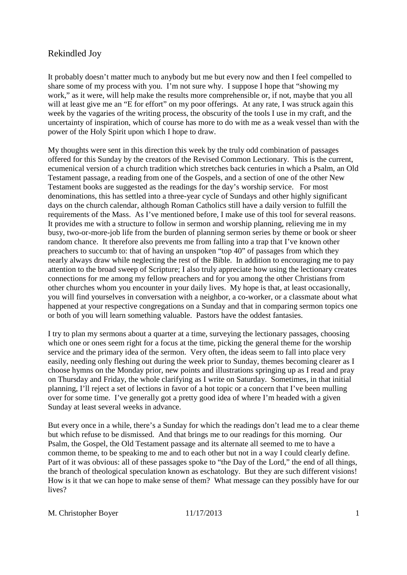It probably doesn't matter much to anybody but me but every now and then I feel compelled to share some of my process with you. I'm not sure why. I suppose I hope that "showing my work," as it were, will help make the results more comprehensible or, if not, maybe that you all will at least give me an "E for effort" on my poor offerings. At any rate, I was struck again this week by the vagaries of the writing process, the obscurity of the tools I use in my craft, and the uncertainty of inspiration, which of course has more to do with me as a weak vessel than with the power of the Holy Spirit upon which I hope to draw.

My thoughts were sent in this direction this week by the truly odd combination of passages offered for this Sunday by the creators of the Revised Common Lectionary. This is the current, ecumenical version of a church tradition which stretches back centuries in which a Psalm, an Old Testament passage, a reading from one of the Gospels, and a section of one of the other New Testament books are suggested as the readings for the day's worship service. For most denominations, this has settled into a three-year cycle of Sundays and other highly significant days on the church calendar, although Roman Catholics still have a daily version to fulfill the requirements of the Mass. As I've mentioned before, I make use of this tool for several reasons. It provides me with a structure to follow in sermon and worship planning, relieving me in my busy, two-or-more-job life from the burden of planning sermon series by theme or book or sheer random chance. It therefore also prevents me from falling into a trap that I've known other preachers to succumb to: that of having an unspoken "top 40" of passages from which they nearly always draw while neglecting the rest of the Bible. In addition to encouraging me to pay attention to the broad sweep of Scripture; I also truly appreciate how using the lectionary creates connections for me among my fellow preachers and for you among the other Christians from other churches whom you encounter in your daily lives. My hope is that, at least occasionally, you will find yourselves in conversation with a neighbor, a co-worker, or a classmate about what happened at your respective congregations on a Sunday and that in comparing sermon topics one or both of you will learn something valuable. Pastors have the oddest fantasies.

I try to plan my sermons about a quarter at a time, surveying the lectionary passages, choosing which one or ones seem right for a focus at the time, picking the general theme for the worship service and the primary idea of the sermon. Very often, the ideas seem to fall into place very easily, needing only fleshing out during the week prior to Sunday, themes becoming clearer as I choose hymns on the Monday prior, new points and illustrations springing up as I read and pray on Thursday and Friday, the whole clarifying as I write on Saturday. Sometimes, in that initial planning, I'll reject a set of lections in favor of a hot topic or a concern that I've been mulling over for some time. I've generally got a pretty good idea of where I'm headed with a given Sunday at least several weeks in advance.

But every once in a while, there's a Sunday for which the readings don't lead me to a clear theme but which refuse to be dismissed. And that brings me to our readings for this morning. Our Psalm, the Gospel, the Old Testament passage and its alternate all seemed to me to have a common theme, to be speaking to me and to each other but not in a way I could clearly define. Part of it was obvious: all of these passages spoke to "the Day of the Lord," the end of all things, the branch of theological speculation known as eschatology. But they are such different visions! How is it that we can hope to make sense of them? What message can they possibly have for our lives?

```
M. Christopher Boyer 11/17/2013 1
```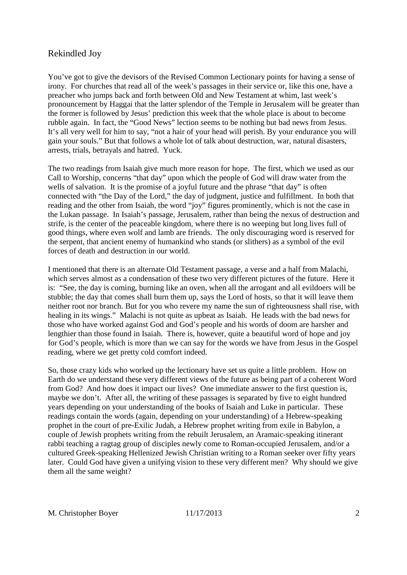You've got to give the devisors of the Revised Common Lectionary points for having a sense of irony. For churches that read all of the week's passages in their service or, like this one, have a preacher who jumps back and forth between Old and New Testament at whim, last week's pronouncement by Haggai that the latter splendor of the Temple in Jerusalem will be greater than the former is followed by Jesus' prediction this week that the whole place is about to become rubble again. In fact, the "Good News" lection seems to be nothing but bad news from Jesus. It's all very well for him to say, "not a hair of your head will perish. By your endurance you will gain your souls." But that follows a whole lot of talk about destruction, war, natural disasters, arrests, trials, betrayals and hatred. Yuck.

The two readings from Isaiah give much more reason for hope. The first, which we used as our Call to Worship, concerns "that day" upon which the people of God will draw water from the wells of salvation. It is the promise of a joyful future and the phrase "that day" is often connected with "the Day of the Lord," the day of judgment, justice and fulfillment. In both that reading and the other from Isaiah, the word "joy" figures prominently, which is not the case in the Lukan passage. In Isaiah's passage, Jerusalem, rather than being the nexus of destruction and strife, is the center of the peaceable kingdom, where there is no weeping but long lives full of good things, where even wolf and lamb are friends. The only discouraging word is reserved for the serpent, that ancient enemy of humankind who stands (or slithers) as a symbol of the evil forces of death and destruction in our world.

I mentioned that there is an alternate Old Testament passage, a verse and a half from Malachi, which serves almost as a condensation of these two very different pictures of the future. Here it is: "See, the day is coming, burning like an oven, when all the arrogant and all evildoers will be stubble; the day that comes shall burn them up, says the Lord of hosts, so that it will leave them neither root nor branch. But for you who revere my name the sun of righteousness shall rise, with healing in its wings." Malachi is not quite as upbeat as Isaiah. He leads with the bad news for those who have worked against God and God's people and his words of doom are harsher and lengthier than those found in Isaiah. There is, however, quite a beautiful word of hope and joy for God's people, which is more than we can say for the words we have from Jesus in the Gospel reading, where we get pretty cold comfort indeed.

So, those crazy kids who worked up the lectionary have set us quite a little problem. How on Earth do we understand these very different views of the future as being part of a coherent Word from God? And how does it impact our lives? One immediate answer to the first question is, maybe we don't. After all, the writing of these passages is separated by five to eight hundred years depending on your understanding of the books of Isaiah and Luke in particular. These readings contain the words (again, depending on your understanding) of a Hebrew-speaking prophet in the court of pre-Exilic Judah, a Hebrew prophet writing from exile in Babylon, a couple of Jewish prophets writing from the rebuilt Jerusalem, an Aramaic-speaking itinerant rabbi teaching a ragtag group of disciples newly come to Roman-occupied Jerusalem, and/or a cultured Greek-speaking Hellenized Jewish Christian writing to a Roman seeker over fifty years later. Could God have given a unifying vision to these very different men? Why should we give them all the same weight?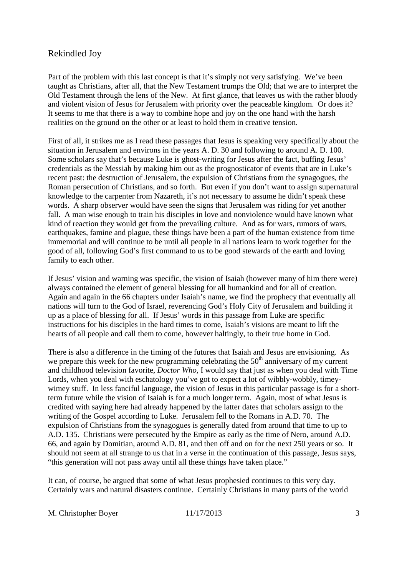Part of the problem with this last concept is that it's simply not very satisfying. We've been taught as Christians, after all, that the New Testament trumps the Old; that we are to interpret the Old Testament through the lens of the New. At first glance, that leaves us with the rather bloody and violent vision of Jesus for Jerusalem with priority over the peaceable kingdom. Or does it? It seems to me that there is a way to combine hope and joy on the one hand with the harsh realities on the ground on the other or at least to hold them in creative tension.

First of all, it strikes me as I read these passages that Jesus is speaking very specifically about the situation in Jerusalem and environs in the years A. D. 30 and following to around A. D. 100. Some scholars say that's because Luke is ghost-writing for Jesus after the fact, buffing Jesus' credentials as the Messiah by making him out as the prognosticator of events that are in Luke's recent past: the destruction of Jerusalem, the expulsion of Christians from the synagogues, the Roman persecution of Christians, and so forth. But even if you don't want to assign supernatural knowledge to the carpenter from Nazareth, it's not necessary to assume he didn't speak these words. A sharp observer would have seen the signs that Jerusalem was riding for yet another fall. A man wise enough to train his disciples in love and nonviolence would have known what kind of reaction they would get from the prevailing culture. And as for wars, rumors of wars, earthquakes, famine and plague, these things have been a part of the human existence from time immemorial and will continue to be until all people in all nations learn to work together for the good of all, following God's first command to us to be good stewards of the earth and loving family to each other.

If Jesus' vision and warning was specific, the vision of Isaiah (however many of him there were) always contained the element of general blessing for all humankind and for all of creation. Again and again in the 66 chapters under Isaiah's name, we find the prophecy that eventually all nations will turn to the God of Israel, reverencing God's Holy City of Jerusalem and building it up as a place of blessing for all. If Jesus' words in this passage from Luke are specific instructions for his disciples in the hard times to come, Isaiah's visions are meant to lift the hearts of all people and call them to come, however haltingly, to their true home in God.

There is also a difference in the timing of the futures that Isaiah and Jesus are envisioning. As we prepare this week for the new programming celebrating the  $50<sup>th</sup>$  anniversary of my current and childhood television favorite, *Doctor Who*, I would say that just as when you deal with Time Lords, when you deal with eschatology you've got to expect a lot of wibbly-wobbly, timeywimey stuff. In less fanciful language, the vision of Jesus in this particular passage is for a shortterm future while the vision of Isaiah is for a much longer term. Again, most of what Jesus is credited with saying here had already happened by the latter dates that scholars assign to the writing of the Gospel according to Luke. Jerusalem fell to the Romans in A.D. 70. The expulsion of Christians from the synagogues is generally dated from around that time to up to A.D. 135. Christians were persecuted by the Empire as early as the time of Nero, around A.D. 66, and again by Domitian, around A.D. 81, and then off and on for the next 250 years or so. It should not seem at all strange to us that in a verse in the continuation of this passage, Jesus says, "this generation will not pass away until all these things have taken place."

It can, of course, be argued that some of what Jesus prophesied continues to this very day. Certainly wars and natural disasters continue. Certainly Christians in many parts of the world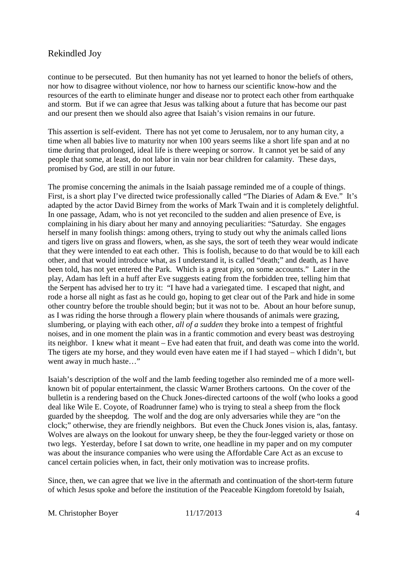continue to be persecuted. But then humanity has not yet learned to honor the beliefs of others, nor how to disagree without violence, nor how to harness our scientific know-how and the resources of the earth to eliminate hunger and disease nor to protect each other from earthquake and storm. But if we can agree that Jesus was talking about a future that has become our past and our present then we should also agree that Isaiah's vision remains in our future.

This assertion is self-evident. There has not yet come to Jerusalem, nor to any human city, a time when all babies live to maturity nor when 100 years seems like a short life span and at no time during that prolonged, ideal life is there weeping or sorrow. It cannot yet be said of any people that some, at least, do not labor in vain nor bear children for calamity. These days, promised by God, are still in our future.

The promise concerning the animals in the Isaiah passage reminded me of a couple of things. First, is a short play I've directed twice professionally called "The Diaries of Adam & Eve." It's adapted by the actor David Birney from the works of Mark Twain and it is completely delightful. In one passage, Adam, who is not yet reconciled to the sudden and alien presence of Eve, is complaining in his diary about her many and annoying peculiarities: "Saturday. She engages herself in many foolish things: among others, trying to study out why the animals called lions and tigers live on grass and flowers, when, as she says, the sort of teeth they wear would indicate that they were intended to eat each other. This is foolish, because to do that would be to kill each other, and that would introduce what, as I understand it, is called "death;" and death, as I have been told, has not yet entered the Park. Which is a great pity, on some accounts." Later in the play, Adam has left in a huff after Eve suggests eating from the forbidden tree, telling him that the Serpent has advised her to try it: "I have had a variegated time. I escaped that night, and rode a horse all night as fast as he could go, hoping to get clear out of the Park and hide in some other country before the trouble should begin; but it was not to be. About an hour before sunup, as I was riding the horse through a flowery plain where thousands of animals were grazing, slumbering, or playing with each other, *all of a sudden* they broke into a tempest of frightful noises, and in one moment the plain was in a frantic commotion and every beast was destroying its neighbor. I knew what it meant – Eve had eaten that fruit, and death was come into the world. The tigers ate my horse, and they would even have eaten me if I had stayed – which I didn't, but went away in much haste…"

Isaiah's description of the wolf and the lamb feeding together also reminded me of a more wellknown bit of popular entertainment, the classic Warner Brothers cartoons. On the cover of the bulletin is a rendering based on the Chuck Jones-directed cartoons of the wolf (who looks a good deal like Wile E. Coyote, of Roadrunner fame) who is trying to steal a sheep from the flock guarded by the sheepdog. The wolf and the dog are only adversaries while they are "on the clock;" otherwise, they are friendly neighbors. But even the Chuck Jones vision is, alas, fantasy. Wolves are always on the lookout for unwary sheep, be they the four-legged variety or those on two legs. Yesterday, before I sat down to write, one headline in my paper and on my computer was about the insurance companies who were using the Affordable Care Act as an excuse to cancel certain policies when, in fact, their only motivation was to increase profits.

Since, then, we can agree that we live in the aftermath and continuation of the short-term future of which Jesus spoke and before the institution of the Peaceable Kingdom foretold by Isaiah,